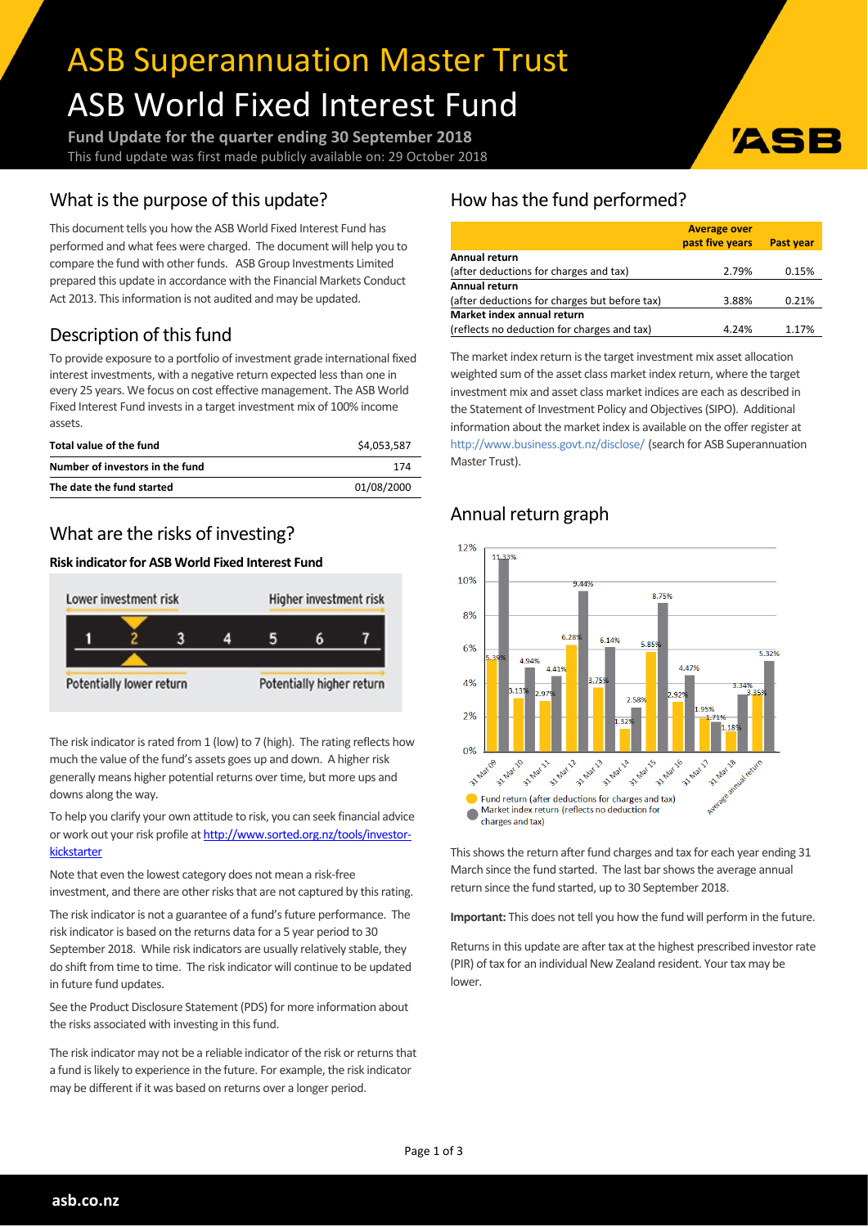# ASB Superannuation Master Trust ASB World Fixed Interest Fund

**Fund Update for the quarter ending 30 September 2018** This fund update was first made publicly available on: 29 October 2018

## What is the purpose of this update?

This document tells you how the ASB World Fixed Interest Fund has performed and what fees were charged. The document will help you to compare the fund with other funds. ASB Group Investments Limited prepared this update in accordance with the Financial Markets Conduct Act 2013. This information is not audited and may be updated.

# Description of this fund

To provide exposure to a portfolio of investment grade international fixed interest investments, with a negative return expected less than one in every 25 years. We focus on cost effective management. The ASB World Fixed Interest Fund invests in a target investment mix of 100% income assets.

| Total value of the fund         | \$4,053,587 |
|---------------------------------|-------------|
| Number of investors in the fund | 174         |
| The date the fund started       | 01/08/2000  |

## What are the risks of investing?

#### **Risk indicatorfor ASB World Fixed Interest Fund**



The risk indicator is rated from 1 (low) to 7 (high). The rating reflects how much the value of the fund's assets goes up and down. A higher risk generally means higher potential returns over time, but more ups and downs along the way.

To help you clarify your own attitude to risk, you can seek financial advice or work out your risk profile at [http://www.sorted.org.nz/tools/investor](http://www.sorted.org.nz/tools/investor-kickstarter)[kickstarter](http://www.sorted.org.nz/tools/investor-kickstarter)

Note that even the lowest category does not mean a risk-free investment, and there are other risks that are not captured by this rating.

The risk indicator is not a guarantee of a fund's future performance. The risk indicator is based on the returns data for a 5 year period to 30 September 2018. While risk indicators are usually relatively stable, they do shift from time to time. The risk indicator will continue to be updated in future fund updates.

See the Product Disclosure Statement (PDS) for more information about the risks associated with investing in this fund.

The risk indicator may not be a reliable indicator of the risk or returns that a fund is likely to experience in the future. For example, the risk indicator may be different if it was based on returns over a longer period.

# How has the fund performed?

|                                               | <b>Average over</b> |                  |
|-----------------------------------------------|---------------------|------------------|
|                                               | past five years     | <b>Past year</b> |
| Annual return                                 |                     |                  |
| (after deductions for charges and tax)        | 2.79%               | 0.15%            |
| Annual return                                 |                     |                  |
| (after deductions for charges but before tax) | 3.88%               | 0.21%            |
| Market index annual return                    |                     |                  |
| (reflects no deduction for charges and tax)   | 4.24%               | 1.17%            |

ASI

The market index return is the target investment mix asset allocation weighted sum of the asset class market index return, where the target investment mix and asset class market indices are each as described in the Statement of Investment Policy and Objectives(SIPO). Additional information about the market index is available on the offer register at <http://www.business.govt.nz/disclose/> (search for ASB Superannuation Master Trust).

# Annual return graph



This shows the return after fund charges and tax for each year ending 31 March since the fund started. The last bar shows the average annual return since the fund started, up to 30 September 2018.

**Important:** This does not tell you how the fund will perform in the future.

Returns in this update are after tax at the highest prescribed investor rate (PIR) of tax for an individual New Zealand resident. Your tax may be lower.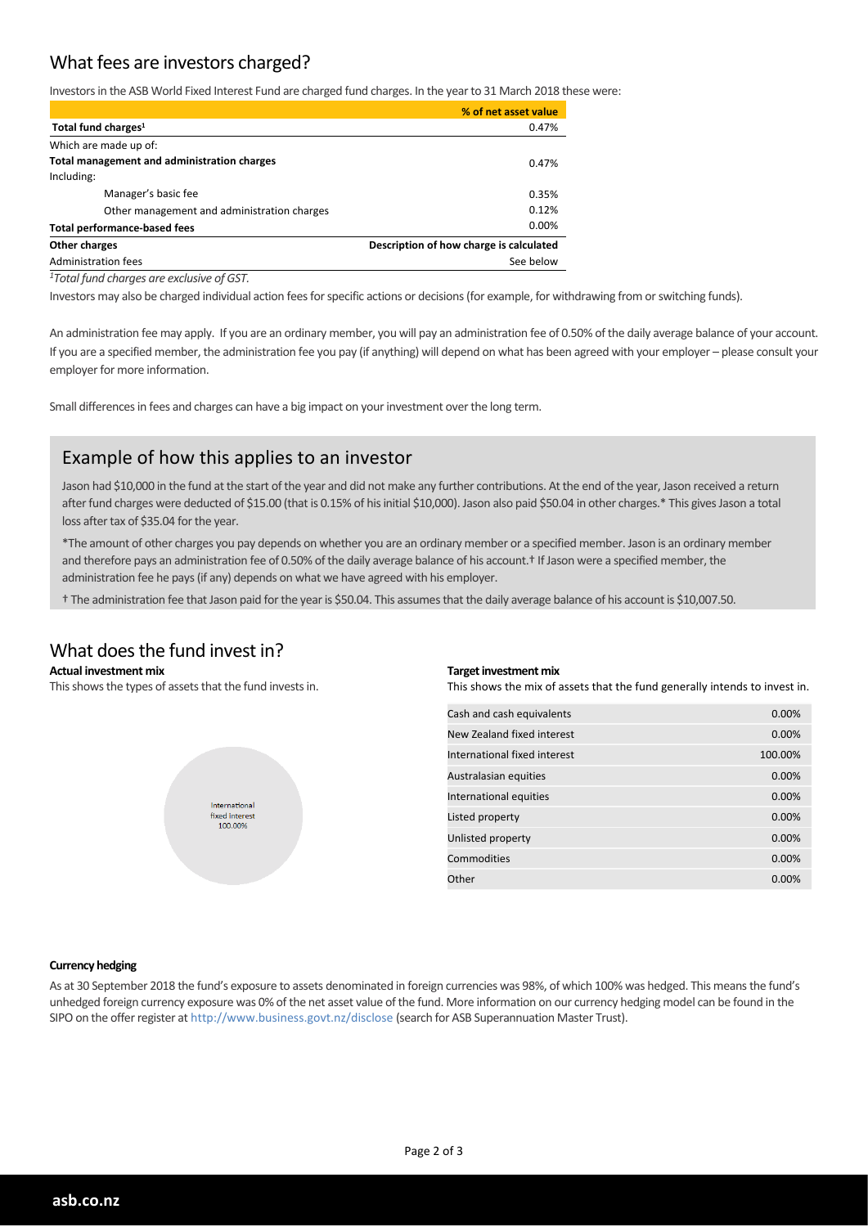## What fees are investors charged?

Investorsin the ASB World Fixed Interest Fund are charged fund charges. In the yearto 31 March 2018 these were:

|                                             | % of net asset value                    |  |
|---------------------------------------------|-----------------------------------------|--|
| Total fund charges <sup>1</sup>             | 0.47%                                   |  |
| Which are made up of:                       |                                         |  |
| Total management and administration charges | 0.47%                                   |  |
| Including:                                  |                                         |  |
| Manager's basic fee                         | 0.35%                                   |  |
| Other management and administration charges | 0.12%                                   |  |
| <b>Total performance-based fees</b>         | 0.00%                                   |  |
| Other charges                               | Description of how charge is calculated |  |
| Administration fees                         | See below                               |  |
|                                             |                                         |  |

*<sup>1</sup>Total fund charges are exclusive of GST.*

Investors may also be charged individual action fees for specific actions or decisions (for example, for withdrawing from or switching funds).

An administration fee may apply. If you are an ordinary member, you will pay an administration fee of 0.50% of the daily average balance of your account. If you are a specified member, the administration fee you pay (if anything) will depend on what has been agreed with your employer – please consult your employer for more information.

Small differences in fees and charges can have a big impact on your investment over the long term.

## Example of how this applies to an investor

Jason had \$10,000 in the fund at the start of the year and did not make any further contributions. At the end of the year, Jason received a return after fund charges were deducted of \$15.00 (that is 0.15% of his initial \$10,000). Jason also paid \$50.04 in other charges.\* This gives Jason a total loss after tax of \$35.04 for the year.

\*The amount of other charges you pay depends on whether you are an ordinary member or a specified member. Jason is an ordinary member and therefore pays an administration fee of 0.50% of the daily average balance of his account.<sup>†</sup> If Jason were a specified member, the administration fee he pays(if any) depends on what we have agreed with his employer.

† The administration fee that Jason paid forthe yearis \$50.04. This assumesthat the daily average balance of his account is \$10,007.50.

### What does the fund invest in?

#### **Actual investment mix**

This shows the types of assets that the fund invests in.



#### **Target investment mix**

This shows the mix of assets that the fund generally intends to invest in.

| Cash and cash equivalents    | 0.00%   |
|------------------------------|---------|
| New Zealand fixed interest   | 0.00%   |
| International fixed interest | 100.00% |
| Australasian equities        | 0.00%   |
| International equities       | 0.00%   |
| Listed property              | 0.00%   |
| Unlisted property            | 0.00%   |
| Commodities                  | 0.00%   |
| Other                        | 0.00%   |

#### **Currency hedging**

As at 30 September 2018 the fund's exposure to assets denominated in foreign currencies was 98%, of which 100% was hedged. This meansthe fund's unhedged foreign currency exposure was 0% of the net asset value of the fund. More information on our currency hedging model can be found in the SIPO on the offerregister at http://www.business.govt.nz/disclose (search for ASB Superannuation Master Trust).